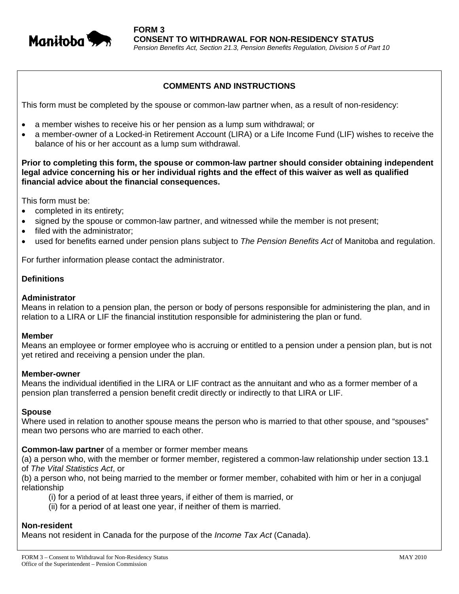

# **COMMENTS AND INSTRUCTIONS**

This form must be completed by the spouse or common-law partner when, as a result of non-residency:

- a member wishes to receive his or her pension as a lump sum withdrawal; or
- a member-owner of a Locked-in Retirement Account (LIRA) or a Life Income Fund (LIF) wishes to receive the balance of his or her account as a lump sum withdrawal.

**Prior to completing this form, the spouse or common-law partner should consider obtaining independent legal advice concerning his or her individual rights and the effect of this waiver as well as qualified financial advice about the financial consequences.** 

This form must be:

- completed in its entirety;
- signed by the spouse or common-law partner, and witnessed while the member is not present;
- filed with the administrator;
- used for benefits earned under pension plans subject to *The Pension Benefits Act* of Manitoba and regulation.

For further information please contact the administrator.

# **Definitions**

### **Administrator**

Means in relation to a pension plan, the person or body of persons responsible for administering the plan, and in relation to a LIRA or LIF the financial institution responsible for administering the plan or fund.

#### **Member**

Means an employee or former employee who is accruing or entitled to a pension under a pension plan, but is not yet retired and receiving a pension under the plan.

#### **Member-owner**

Means the individual identified in the LIRA or LIF contract as the annuitant and who as a former member of a pension plan transferred a pension benefit credit directly or indirectly to that LIRA or LIF.

### **Spouse**

Where used in relation to another spouse means the person who is married to that other spouse, and "spouses" mean two persons who are married to each other.

### **Common-law partner** of a member or former member means

(a) a person who, with the member or former member, registered a common-law relationship under section 13.1 of *The Vital Statistics Act*, or

(b) a person who, not being married to the member or former member, cohabited with him or her in a conjugal relationship

- (i) for a period of at least three years, if either of them is married, or
- (ii) for a period of at least one year, if neither of them is married.

### **Non-resident**

Means not resident in Canada for the purpose of the *Income Tax Act* (Canada).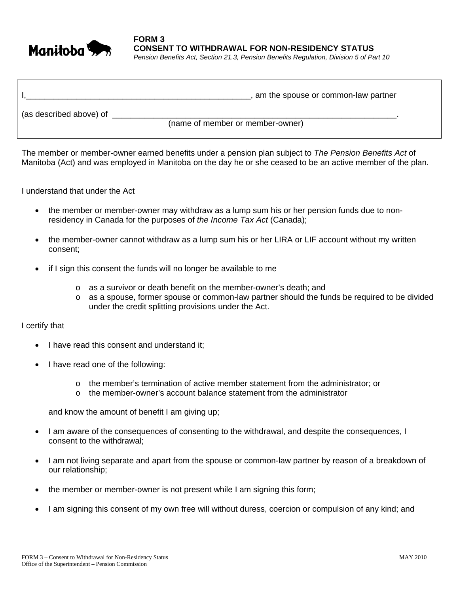

**FORM 3 CONSENT TO WITHDRAWAL FOR NON-RESIDENCY STATUS**  *Pension Benefits Act, Section 21.3, Pension Benefits Regulation, Division 5 of Part 10*

|                         | am the spouse or common-law partner |
|-------------------------|-------------------------------------|
| (as described above) of |                                     |
|                         | (name of member or member-owner)    |

The member or member-owner earned benefits under a pension plan subject to *The Pension Benefits Act* of Manitoba (Act) and was employed in Manitoba on the day he or she ceased to be an active member of the plan.

I understand that under the Act

- the member or member-owner may withdraw as a lump sum his or her pension funds due to nonresidency in Canada for the purposes of *the Income Tax Act* (Canada);
- the member-owner cannot withdraw as a lump sum his or her LIRA or LIF account without my written consent;
- if I sign this consent the funds will no longer be available to me
	- o as a survivor or death benefit on the member-owner's death; and
	- o as a spouse, former spouse or common-law partner should the funds be required to be divided under the credit splitting provisions under the Act.

### I certify that

- I have read this consent and understand it;
- I have read one of the following:
	- $\circ$  the member's termination of active member statement from the administrator; or
	- $\circ$  the member-owner's account balance statement from the administrator

and know the amount of benefit I am giving up;

- I am aware of the consequences of consenting to the withdrawal, and despite the consequences, I consent to the withdrawal;
- I am not living separate and apart from the spouse or common-law partner by reason of a breakdown of our relationship;
- the member or member-owner is not present while I am signing this form;
- I am signing this consent of my own free will without duress, coercion or compulsion of any kind; and